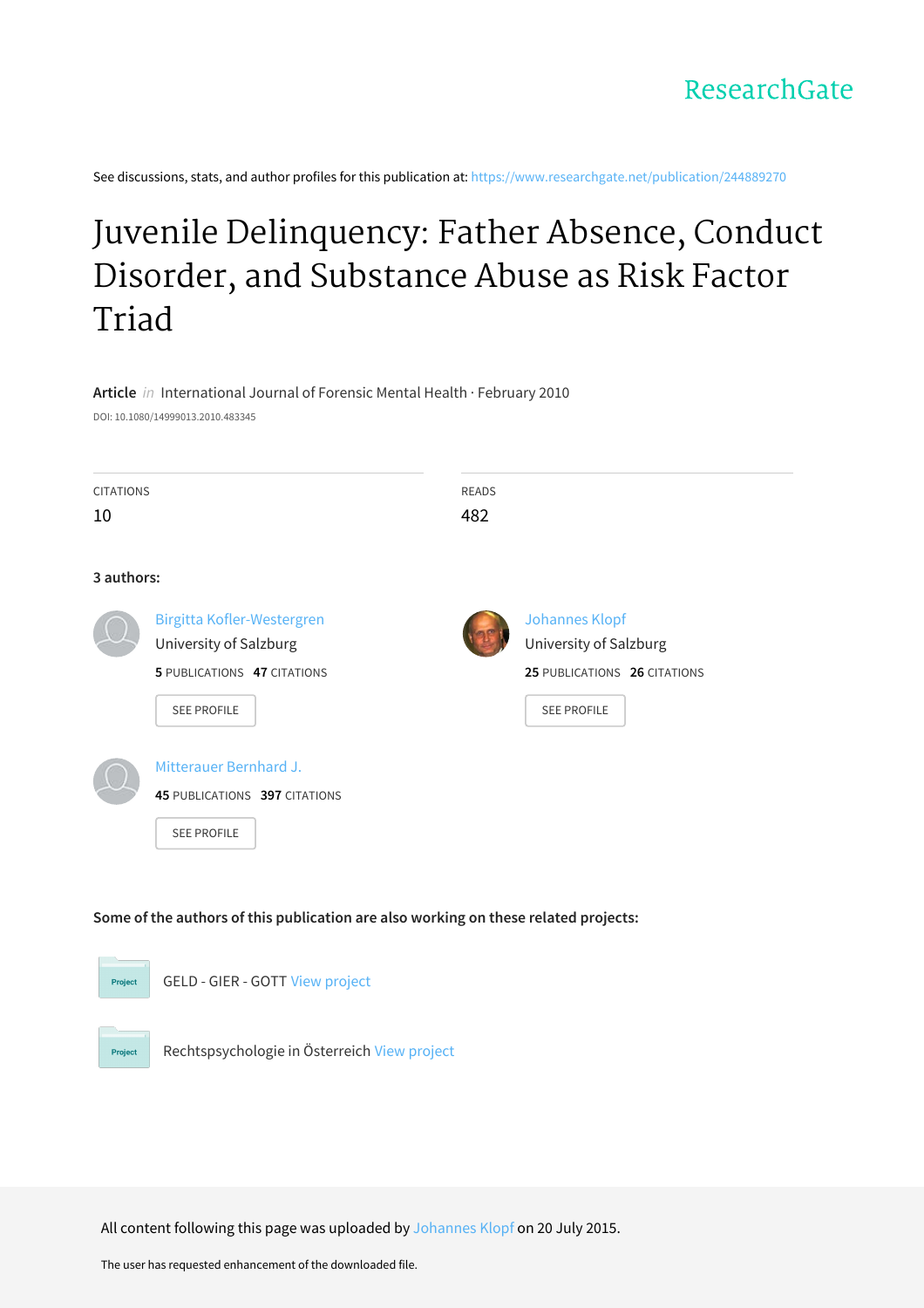See discussions, stats, and author profiles for this publication at: [https://www.researchgate.net/publication/244889270](https://www.researchgate.net/publication/244889270_Juvenile_Delinquency_Father_Absence_Conduct_Disorder_and_Substance_Abuse_as_Risk_Factor_Triad?enrichId=rgreq-0fb68800cb19a58eeefcb481ea40cc84-XXX&enrichSource=Y292ZXJQYWdlOzI0NDg4OTI3MDtBUzoyNTMyNDI2MTM0MzIzMjBAMTQzNzM4OTE1NDIwMw%3D%3D&el=1_x_2&_esc=publicationCoverPdf)

# Juvenile [Delinquency:](https://www.researchgate.net/publication/244889270_Juvenile_Delinquency_Father_Absence_Conduct_Disorder_and_Substance_Abuse_as_Risk_Factor_Triad?enrichId=rgreq-0fb68800cb19a58eeefcb481ea40cc84-XXX&enrichSource=Y292ZXJQYWdlOzI0NDg4OTI3MDtBUzoyNTMyNDI2MTM0MzIzMjBAMTQzNzM4OTE1NDIwMw%3D%3D&el=1_x_3&_esc=publicationCoverPdf) Father Absence, Conduct Disorder, and Substance Abuse as Risk Factor Triad

# **Article** in International Journal of Forensic Mental Health · February 2010 DOI: 10.1080/14999013.2010.483345

| <b>CITATIONS</b> |                               | <b>READS</b> |                              |
|------------------|-------------------------------|--------------|------------------------------|
| 10               |                               | 482          |                              |
|                  |                               |              |                              |
| 3 authors:       |                               |              |                              |
|                  | Birgitta Kofler-Westergren    |              | <b>Johannes Klopf</b>        |
|                  | University of Salzburg        |              | University of Salzburg       |
|                  | 5 PUBLICATIONS 47 CITATIONS   |              | 25 PUBLICATIONS 26 CITATIONS |
|                  | SEE PROFILE                   |              | <b>SEE PROFILE</b>           |
|                  |                               |              |                              |
|                  | Mitterauer Bernhard J.        |              |                              |
|                  |                               |              |                              |
|                  | 45 PUBLICATIONS 397 CITATIONS |              |                              |
|                  | <b>SEE PROFILE</b>            |              |                              |
|                  |                               |              |                              |
|                  |                               |              |                              |
|                  |                               |              |                              |

# **Some of the authors of this publication are also working on these related projects:**



All content following this page was uploaded by [Johannes](https://www.researchgate.net/profile/Johannes_Klopf?enrichId=rgreq-0fb68800cb19a58eeefcb481ea40cc84-XXX&enrichSource=Y292ZXJQYWdlOzI0NDg4OTI3MDtBUzoyNTMyNDI2MTM0MzIzMjBAMTQzNzM4OTE1NDIwMw%3D%3D&el=1_x_10&_esc=publicationCoverPdf) Klopf on 20 July 2015.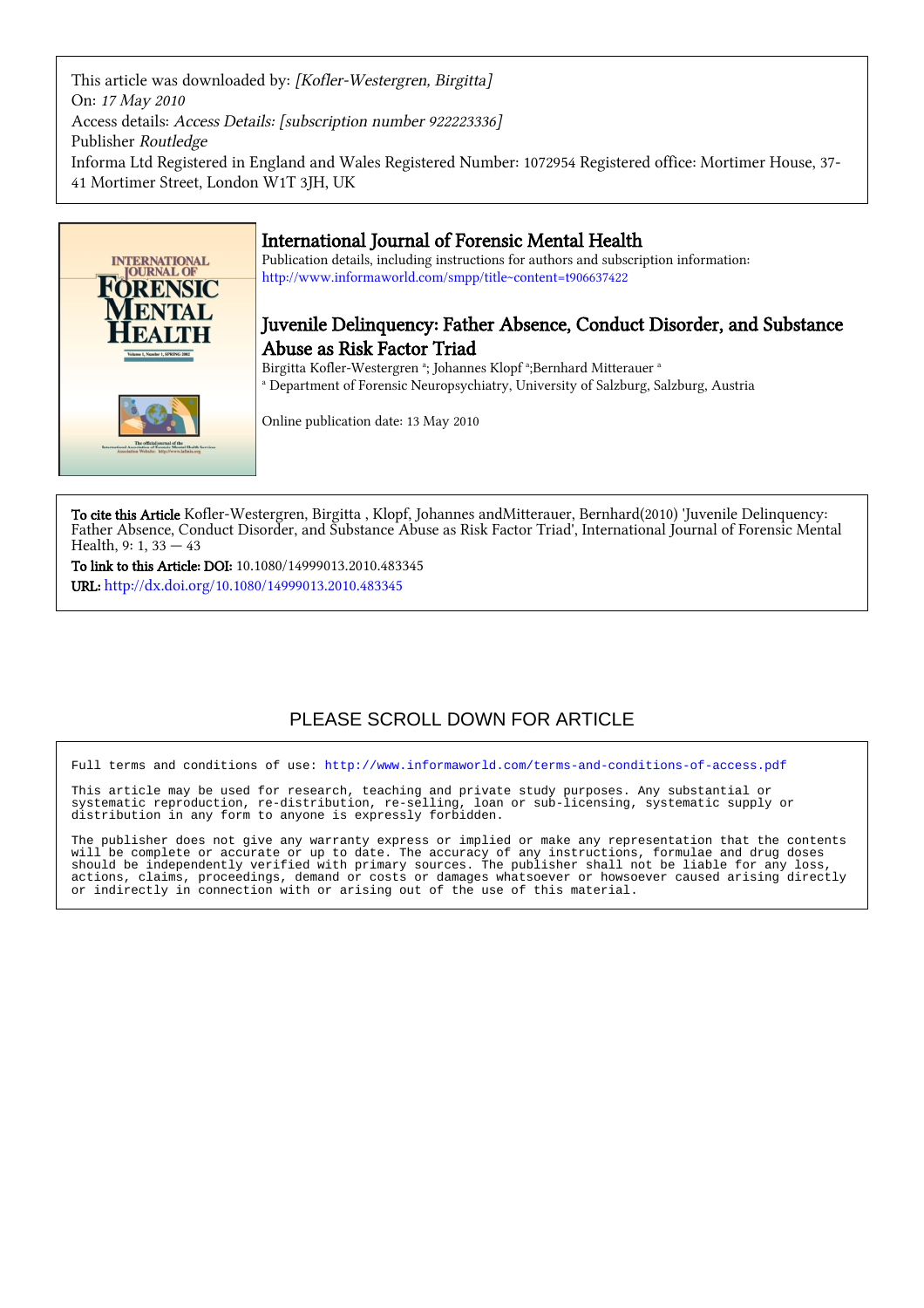This article was downloaded by: [Kofler-Westergren, Birgitta] On: 17 May 2010 Access details: Access Details: [subscription number 922223336] Publisher Routledge Informa Ltd Registered in England and Wales Registered Number: 1072954 Registered office: Mortimer House, 37- 41 Mortimer Street, London W1T 3JH, UK



# International Journal of Forensic Mental Health

Publication details, including instructions for authors and subscription information: <http://www.informaworld.com/smpp/title~content=t906637422>

# Juvenile Delinquency: Father Absence, Conduct Disorder, and Substance Abuse as Risk Factor Triad

Birgitta Kofler-Westergren <sup>a</sup>; Johannes Klopf <sup>a</sup>;Bernhard Mitterauer <sup>a</sup> a Department of Forensic Neuropsychiatry, University of Salzburg, Salzburg, Austria

Online publication date: 13 May 2010

To cite this Article Kofler-Westergren, Birgitta , Klopf, Johannes andMitterauer, Bernhard(2010) 'Juvenile Delinquency: Father Absence, Conduct Disorder, and Substance Abuse as Risk Factor Triad', International Journal of Forensic Mental Health, 9: 1, 33 — 43

To link to this Article: DOI: 10.1080/14999013.2010.483345 URL: <http://dx.doi.org/10.1080/14999013.2010.483345>

# PLEASE SCROLL DOWN FOR ARTICLE

Full terms and conditions of use:<http://www.informaworld.com/terms-and-conditions-of-access.pdf>

This article may be used for research, teaching and private study purposes. Any substantial or systematic reproduction, re-distribution, re-selling, loan or sub-licensing, systematic supply or distribution in any form to anyone is expressly forbidden.

The publisher does not give any warranty express or implied or make any representation that the contents will be complete or accurate or up to date. The accuracy of any instructions, formulae and drug doses should be independently verified with primary sources. The publisher shall not be liable for any loss, actions, claims, proceedings, demand or costs or damages whatsoever or howsoever caused arising directly or indirectly in connection with or arising out of the use of this material.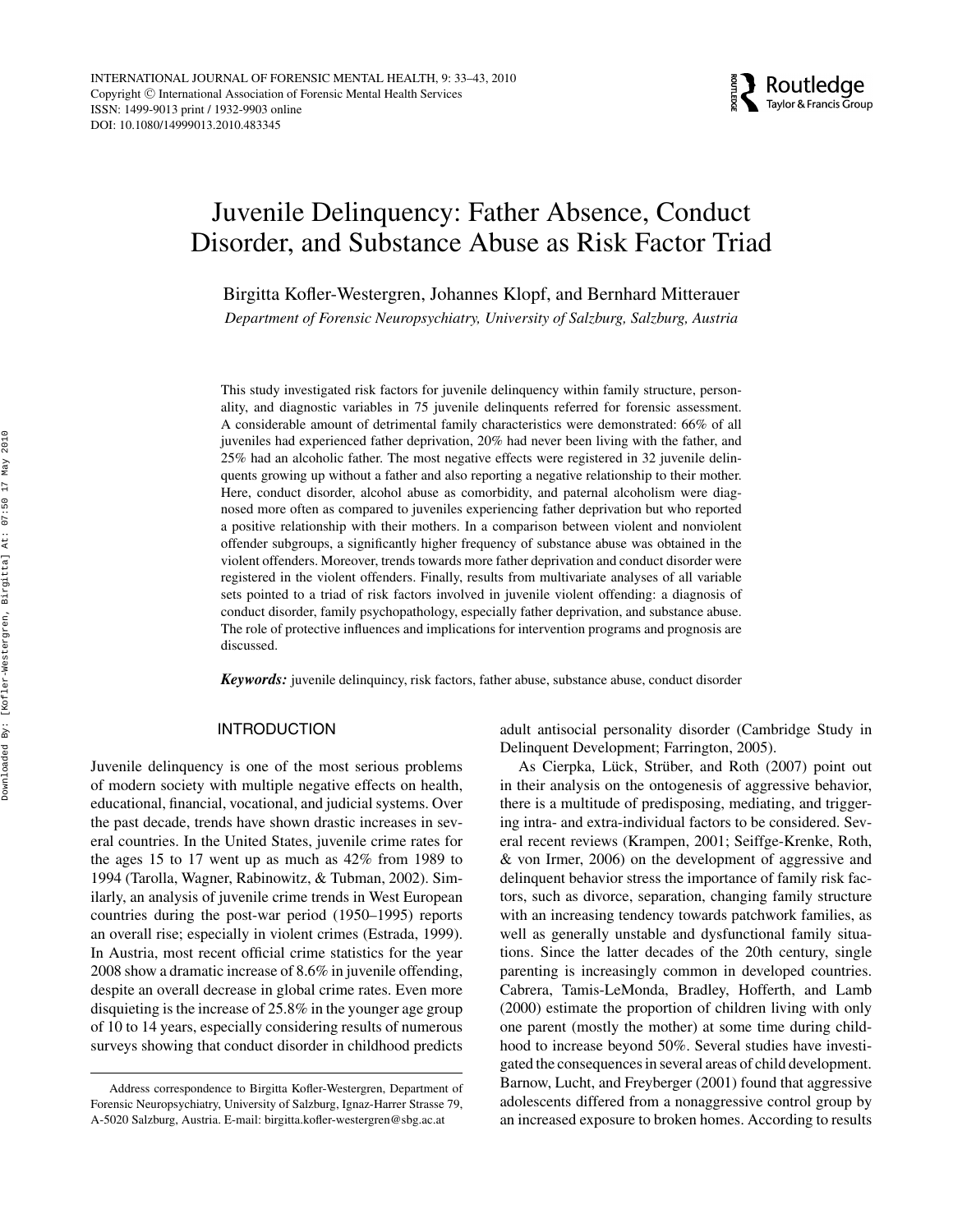

# Juvenile Delinquency: Father Absence, Conduct Disorder, and Substance Abuse as Risk Factor Triad

Birgitta Kofler-Westergren, Johannes Klopf, and Bernhard Mitterauer

*Department of Forensic Neuropsychiatry, University of Salzburg, Salzburg, Austria*

This study investigated risk factors for juvenile delinquency within family structure, personality, and diagnostic variables in 75 juvenile delinquents referred for forensic assessment. A considerable amount of detrimental family characteristics were demonstrated: 66% of all juveniles had experienced father deprivation, 20% had never been living with the father, and 25% had an alcoholic father. The most negative effects were registered in 32 juvenile delinquents growing up without a father and also reporting a negative relationship to their mother. Here, conduct disorder, alcohol abuse as comorbidity, and paternal alcoholism were diagnosed more often as compared to juveniles experiencing father deprivation but who reported a positive relationship with their mothers. In a comparison between violent and nonviolent offender subgroups, a significantly higher frequency of substance abuse was obtained in the violent offenders. Moreover, trends towards more father deprivation and conduct disorder were registered in the violent offenders. Finally, results from multivariate analyses of all variable sets pointed to a triad of risk factors involved in juvenile violent offending: a diagnosis of conduct disorder, family psychopathology, especially father deprivation, and substance abuse. The role of protective influences and implications for intervention programs and prognosis are discussed.

*Keywords:* juvenile delinquincy, risk factors, father abuse, substance abuse, conduct disorder

#### INTRODUCTION

Juvenile delinquency is one of the most serious problems of modern society with multiple negative effects on health, educational, financial, vocational, and judicial systems. Over the past decade, trends have shown drastic increases in several countries. In the United States, juvenile crime rates for the ages 15 to 17 went up as much as 42% from 1989 to 1994 (Tarolla, Wagner, Rabinowitz, & Tubman, 2002). Similarly, an analysis of juvenile crime trends in West European countries during the post-war period (1950–1995) reports an overall rise; especially in violent crimes (Estrada, 1999). In Austria, most recent official crime statistics for the year 2008 show a dramatic increase of 8.6% in juvenile offending, despite an overall decrease in global crime rates. Even more disquieting is the increase of 25.8% in the younger age group of 10 to 14 years, especially considering results of numerous surveys showing that conduct disorder in childhood predicts adult antisocial personality disorder (Cambridge Study in Delinquent Development; Farrington, 2005).

As Cierpka, Lück, Strüber, and Roth (2007) point out in their analysis on the ontogenesis of aggressive behavior, there is a multitude of predisposing, mediating, and triggering intra- and extra-individual factors to be considered. Several recent reviews (Krampen, 2001; Seiffge-Krenke, Roth, & von Irmer, 2006) on the development of aggressive and delinquent behavior stress the importance of family risk factors, such as divorce, separation, changing family structure with an increasing tendency towards patchwork families, as well as generally unstable and dysfunctional family situations. Since the latter decades of the 20th century, single parenting is increasingly common in developed countries. Cabrera, Tamis-LeMonda, Bradley, Hofferth, and Lamb (2000) estimate the proportion of children living with only one parent (mostly the mother) at some time during childhood to increase beyond 50%. Several studies have investigated the consequences in several areas of child development. Barnow, Lucht, and Freyberger (2001) found that aggressive adolescents differed from a nonaggressive control group by an increased exposure to broken homes. According to results

Address correspondence to Birgitta Kofler-Westergren, Department of Forensic Neuropsychiatry, University of Salzburg, Ignaz-Harrer Strasse 79, A-5020 Salzburg, Austria. E-mail: birgitta.kofler-westergren@sbg.ac.at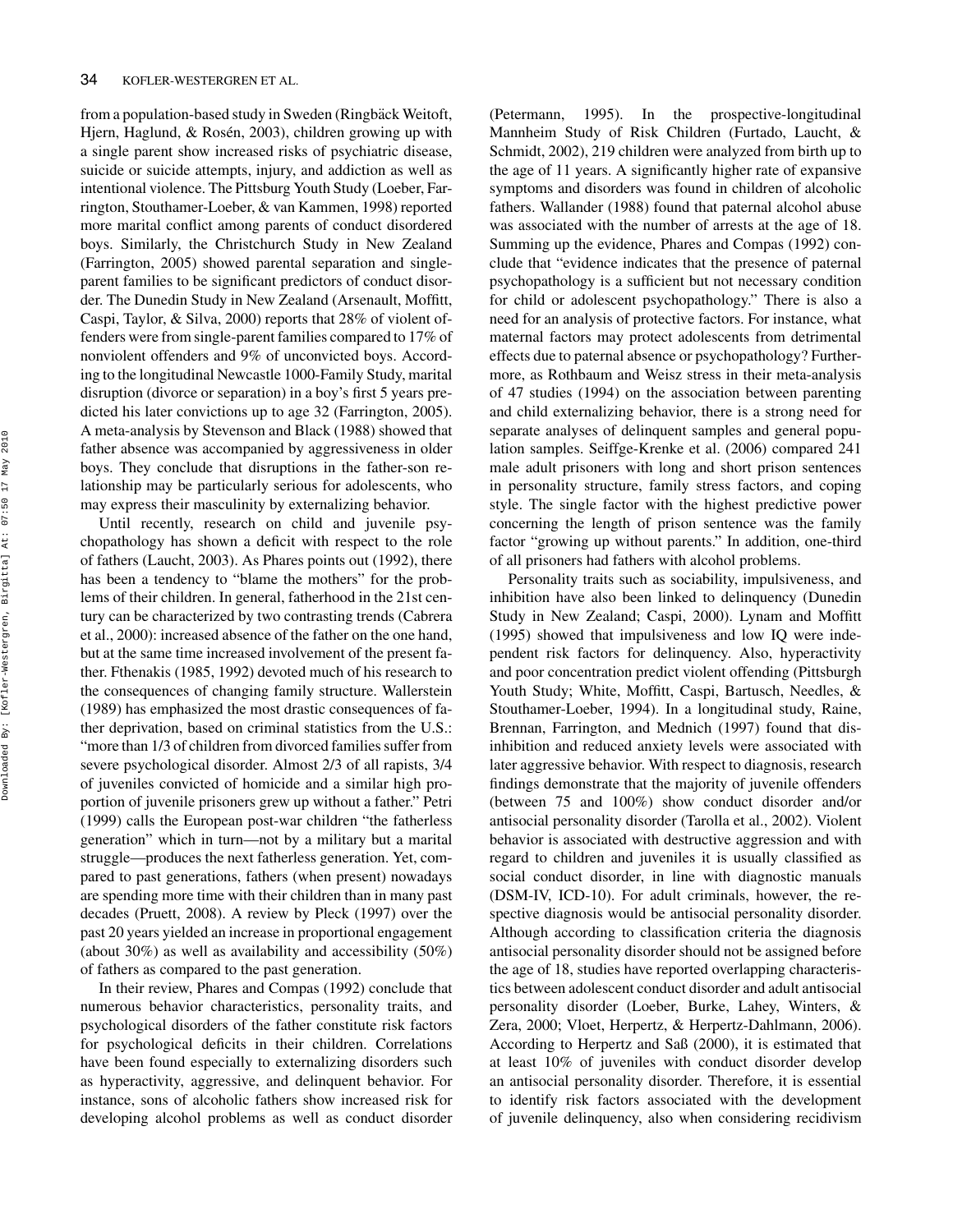from a population-based study in Sweden (Ringbäck Weitoft, Hjern, Haglund, & Rosén, 2003), children growing up with a single parent show increased risks of psychiatric disease, suicide or suicide attempts, injury, and addiction as well as intentional violence. The Pittsburg Youth Study (Loeber, Farrington, Stouthamer-Loeber, & van Kammen, 1998) reported more marital conflict among parents of conduct disordered boys. Similarly, the Christchurch Study in New Zealand (Farrington, 2005) showed parental separation and singleparent families to be significant predictors of conduct disorder. The Dunedin Study in New Zealand (Arsenault, Moffitt, Caspi, Taylor, & Silva, 2000) reports that 28% of violent offenders were from single-parent families compared to 17% of nonviolent offenders and 9% of unconvicted boys. According to the longitudinal Newcastle 1000-Family Study, marital disruption (divorce or separation) in a boy's first 5 years predicted his later convictions up to age 32 (Farrington, 2005). A meta-analysis by Stevenson and Black (1988) showed that father absence was accompanied by aggressiveness in older boys. They conclude that disruptions in the father-son relationship may be particularly serious for adolescents, who may express their masculinity by externalizing behavior.

Until recently, research on child and juvenile psychopathology has shown a deficit with respect to the role of fathers (Laucht, 2003). As Phares points out (1992), there has been a tendency to "blame the mothers" for the problems of their children. In general, fatherhood in the 21st century can be characterized by two contrasting trends (Cabrera et al., 2000): increased absence of the father on the one hand, but at the same time increased involvement of the present father. Fthenakis (1985, 1992) devoted much of his research to the consequences of changing family structure. Wallerstein (1989) has emphasized the most drastic consequences of father deprivation, based on criminal statistics from the U.S.: "more than 1/3 of children from divorced families suffer from severe psychological disorder. Almost 2/3 of all rapists, 3/4 of juveniles convicted of homicide and a similar high proportion of juvenile prisoners grew up without a father." Petri (1999) calls the European post-war children "the fatherless generation" which in turn—not by a military but a marital struggle—produces the next fatherless generation. Yet, compared to past generations, fathers (when present) nowadays are spending more time with their children than in many past decades (Pruett, 2008). A review by Pleck (1997) over the past 20 years yielded an increase in proportional engagement (about 30%) as well as availability and accessibility (50%) of fathers as compared to the past generation.

In their review, Phares and Compas (1992) conclude that numerous behavior characteristics, personality traits, and psychological disorders of the father constitute risk factors for psychological deficits in their children. Correlations have been found especially to externalizing disorders such as hyperactivity, aggressive, and delinquent behavior. For instance, sons of alcoholic fathers show increased risk for developing alcohol problems as well as conduct disorder (Petermann, 1995). In the prospective-longitudinal Mannheim Study of Risk Children (Furtado, Laucht, & Schmidt, 2002), 219 children were analyzed from birth up to the age of 11 years. A significantly higher rate of expansive symptoms and disorders was found in children of alcoholic fathers. Wallander (1988) found that paternal alcohol abuse was associated with the number of arrests at the age of 18. Summing up the evidence, Phares and Compas (1992) conclude that "evidence indicates that the presence of paternal psychopathology is a sufficient but not necessary condition for child or adolescent psychopathology." There is also a need for an analysis of protective factors. For instance, what maternal factors may protect adolescents from detrimental effects due to paternal absence or psychopathology? Furthermore, as Rothbaum and Weisz stress in their meta-analysis of 47 studies (1994) on the association between parenting and child externalizing behavior, there is a strong need for separate analyses of delinquent samples and general population samples. Seiffge-Krenke et al. (2006) compared 241 male adult prisoners with long and short prison sentences in personality structure, family stress factors, and coping style. The single factor with the highest predictive power concerning the length of prison sentence was the family factor "growing up without parents." In addition, one-third of all prisoners had fathers with alcohol problems.

Personality traits such as sociability, impulsiveness, and inhibition have also been linked to delinquency (Dunedin Study in New Zealand; Caspi, 2000). Lynam and Moffitt (1995) showed that impulsiveness and low IQ were independent risk factors for delinquency. Also, hyperactivity and poor concentration predict violent offending (Pittsburgh Youth Study; White, Moffitt, Caspi, Bartusch, Needles, & Stouthamer-Loeber, 1994). In a longitudinal study, Raine, Brennan, Farrington, and Mednich (1997) found that disinhibition and reduced anxiety levels were associated with later aggressive behavior. With respect to diagnosis, research findings demonstrate that the majority of juvenile offenders (between 75 and 100%) show conduct disorder and/or antisocial personality disorder (Tarolla et al., 2002). Violent behavior is associated with destructive aggression and with regard to children and juveniles it is usually classified as social conduct disorder, in line with diagnostic manuals (DSM-IV, ICD-10). For adult criminals, however, the respective diagnosis would be antisocial personality disorder. Although according to classification criteria the diagnosis antisocial personality disorder should not be assigned before the age of 18, studies have reported overlapping characteristics between adolescent conduct disorder and adult antisocial personality disorder (Loeber, Burke, Lahey, Winters, & Zera, 2000; Vloet, Herpertz, & Herpertz-Dahlmann, 2006). According to Herpertz and Saß (2000), it is estimated that at least 10% of juveniles with conduct disorder develop an antisocial personality disorder. Therefore, it is essential to identify risk factors associated with the development of juvenile delinquency, also when considering recidivism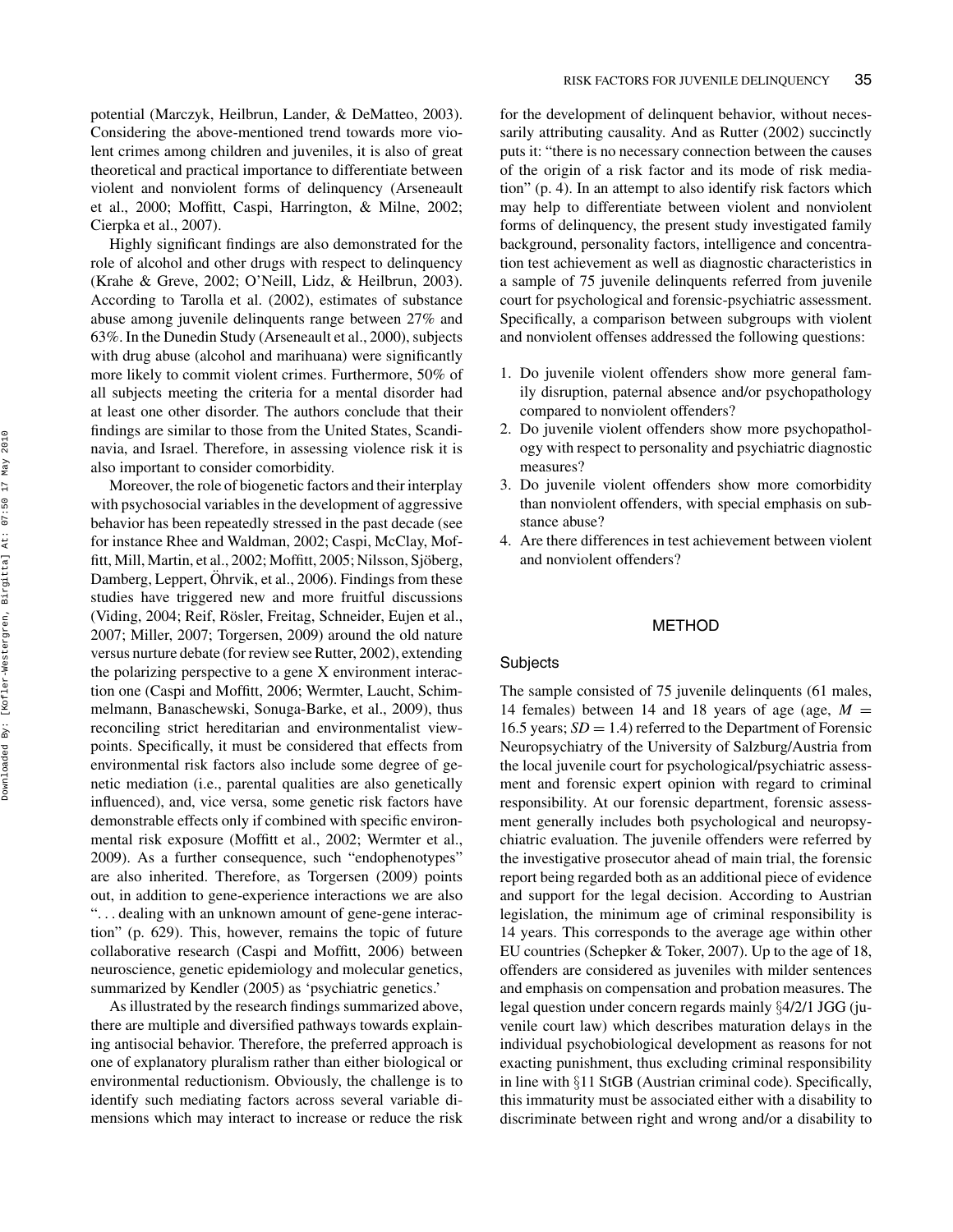potential (Marczyk, Heilbrun, Lander, & DeMatteo, 2003). Considering the above-mentioned trend towards more violent crimes among children and juveniles, it is also of great theoretical and practical importance to differentiate between violent and nonviolent forms of delinquency (Arseneault et al., 2000; Moffitt, Caspi, Harrington, & Milne, 2002; Cierpka et al., 2007).

Highly significant findings are also demonstrated for the role of alcohol and other drugs with respect to delinquency (Krahe & Greve, 2002; O'Neill, Lidz, & Heilbrun, 2003). According to Tarolla et al. (2002), estimates of substance abuse among juvenile delinquents range between 27% and 63%. In the Dunedin Study (Arseneault et al., 2000), subjects with drug abuse (alcohol and marihuana) were significantly more likely to commit violent crimes. Furthermore, 50% of all subjects meeting the criteria for a mental disorder had at least one other disorder. The authors conclude that their findings are similar to those from the United States, Scandinavia, and Israel. Therefore, in assessing violence risk it is also important to consider comorbidity.

Moreover, the role of biogenetic factors and their interplay with psychosocial variables in the development of aggressive behavior has been repeatedly stressed in the past decade (see for instance Rhee and Waldman, 2002; Caspi, McClay, Moffitt, Mill, Martin, et al., 2002; Moffitt, 2005; Nilsson, Sjoberg, ¨ Damberg, Leppert, Öhrvik, et al., 2006). Findings from these studies have triggered new and more fruitful discussions (Viding, 2004; Reif, Rösler, Freitag, Schneider, Eujen et al., 2007; Miller, 2007; Torgersen, 2009) around the old nature versus nurture debate (for review see Rutter, 2002), extending the polarizing perspective to a gene X environment interaction one (Caspi and Moffitt, 2006; Wermter, Laucht, Schimmelmann, Banaschewski, Sonuga-Barke, et al., 2009), thus reconciling strict hereditarian and environmentalist viewpoints. Specifically, it must be considered that effects from environmental risk factors also include some degree of genetic mediation (i.e., parental qualities are also genetically influenced), and, vice versa, some genetic risk factors have demonstrable effects only if combined with specific environmental risk exposure (Moffitt et al., 2002; Wermter et al., 2009). As a further consequence, such "endophenotypes" are also inherited. Therefore, as Torgersen (2009) points out, in addition to gene-experience interactions we are also ". . . dealing with an unknown amount of gene-gene interaction" (p. 629). This, however, remains the topic of future collaborative research (Caspi and Moffitt, 2006) between neuroscience, genetic epidemiology and molecular genetics, summarized by Kendler (2005) as 'psychiatric genetics.'

As illustrated by the research findings summarized above, there are multiple and diversified pathways towards explaining antisocial behavior. Therefore, the preferred approach is one of explanatory pluralism rather than either biological or environmental reductionism. Obviously, the challenge is to identify such mediating factors across several variable dimensions which may interact to increase or reduce the risk for the development of delinquent behavior, without necessarily attributing causality. And as Rutter (2002) succinctly puts it: "there is no necessary connection between the causes of the origin of a risk factor and its mode of risk mediation" (p. 4). In an attempt to also identify risk factors which may help to differentiate between violent and nonviolent forms of delinquency, the present study investigated family background, personality factors, intelligence and concentration test achievement as well as diagnostic characteristics in a sample of 75 juvenile delinquents referred from juvenile court for psychological and forensic-psychiatric assessment. Specifically, a comparison between subgroups with violent and nonviolent offenses addressed the following questions:

- 1. Do juvenile violent offenders show more general family disruption, paternal absence and/or psychopathology compared to nonviolent offenders?
- 2. Do juvenile violent offenders show more psychopathology with respect to personality and psychiatric diagnostic measures?
- 3. Do juvenile violent offenders show more comorbidity than nonviolent offenders, with special emphasis on substance abuse?
- 4. Are there differences in test achievement between violent and nonviolent offenders?

## METHOD

#### **Subjects**

The sample consisted of 75 juvenile delinquents (61 males, 14 females) between 14 and 18 years of age (age,  $M =$ 16.5 years;  $SD = 1.4$ ) referred to the Department of Forensic Neuropsychiatry of the University of Salzburg/Austria from the local juvenile court for psychological/psychiatric assessment and forensic expert opinion with regard to criminal responsibility. At our forensic department, forensic assessment generally includes both psychological and neuropsychiatric evaluation. The juvenile offenders were referred by the investigative prosecutor ahead of main trial, the forensic report being regarded both as an additional piece of evidence and support for the legal decision. According to Austrian legislation, the minimum age of criminal responsibility is 14 years. This corresponds to the average age within other EU countries (Schepker & Toker, 2007). Up to the age of 18, offenders are considered as juveniles with milder sentences and emphasis on compensation and probation measures. The legal question under concern regards mainly §4/2/1 JGG (juvenile court law) which describes maturation delays in the individual psychobiological development as reasons for not exacting punishment, thus excluding criminal responsibility in line with §11 StGB (Austrian criminal code). Specifically, this immaturity must be associated either with a disability to discriminate between right and wrong and/or a disability to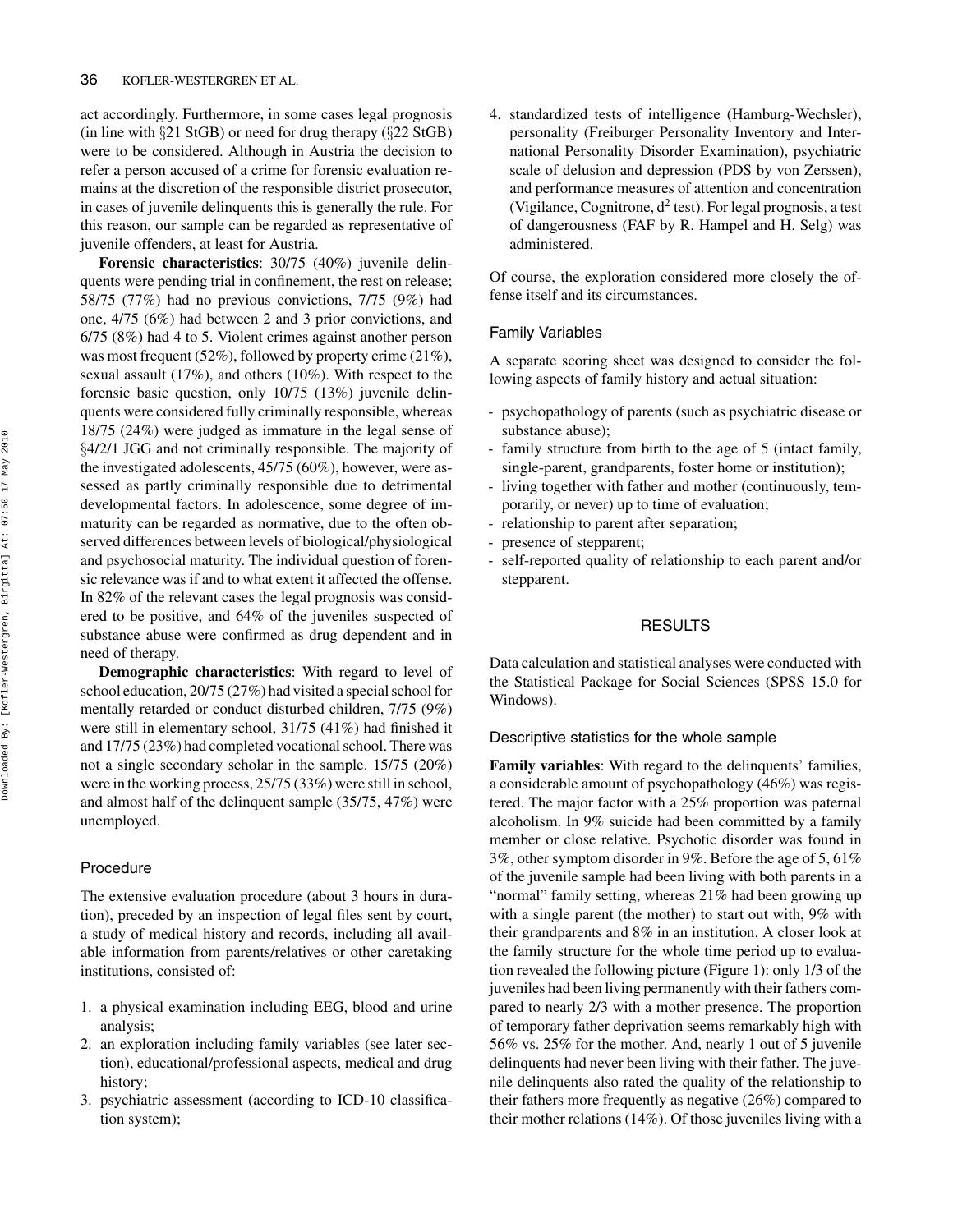act accordingly. Furthermore, in some cases legal prognosis (in line with §21 StGB) or need for drug therapy (§22 StGB) were to be considered. Although in Austria the decision to refer a person accused of a crime for forensic evaluation remains at the discretion of the responsible district prosecutor, in cases of juvenile delinquents this is generally the rule. For this reason, our sample can be regarded as representative of juvenile offenders, at least for Austria.

**Forensic characteristics**: 30/75 (40%) juvenile delinquents were pending trial in confinement, the rest on release; 58/75 (77%) had no previous convictions, 7/75 (9%) had one, 4/75 (6%) had between 2 and 3 prior convictions, and 6/75 (8%) had 4 to 5. Violent crimes against another person was most frequent (52%), followed by property crime (21%), sexual assault (17%), and others (10%). With respect to the forensic basic question, only 10/75 (13%) juvenile delinquents were considered fully criminally responsible, whereas 18/75 (24%) were judged as immature in the legal sense of §4/2/1 JGG and not criminally responsible. The majority of the investigated adolescents, 45/75 (60%), however, were assessed as partly criminally responsible due to detrimental developmental factors. In adolescence, some degree of immaturity can be regarded as normative, due to the often observed differences between levels of biological/physiological and psychosocial maturity. The individual question of forensic relevance was if and to what extent it affected the offense. In 82% of the relevant cases the legal prognosis was considered to be positive, and 64% of the juveniles suspected of substance abuse were confirmed as drug dependent and in need of therapy.

**Demographic characteristics**: With regard to level of school education, 20/75 (27%) had visited a special school for mentally retarded or conduct disturbed children, 7/75 (9%) were still in elementary school, 31/75 (41%) had finished it and 17/75 (23%) had completed vocational school. There was not a single secondary scholar in the sample. 15/75 (20%) were in the working process, 25/75 (33%) were still in school, and almost half of the delinquent sample (35/75, 47%) were unemployed.

### Procedure

The extensive evaluation procedure (about 3 hours in duration), preceded by an inspection of legal files sent by court, a study of medical history and records, including all available information from parents/relatives or other caretaking institutions, consisted of:

- 1. a physical examination including EEG, blood and urine analysis;
- 2. an exploration including family variables (see later section), educational/professional aspects, medical and drug history;
- 3. psychiatric assessment (according to ICD-10 classification system);

4. standardized tests of intelligence (Hamburg-Wechsler), personality (Freiburger Personality Inventory and International Personality Disorder Examination), psychiatric scale of delusion and depression (PDS by von Zerssen), and performance measures of attention and concentration (Vigilance, Cognitrone,  $d^2$  test). For legal prognosis, a test of dangerousness (FAF by R. Hampel and H. Selg) was administered.

Of course, the exploration considered more closely the offense itself and its circumstances.

#### Family Variables

A separate scoring sheet was designed to consider the following aspects of family history and actual situation:

- psychopathology of parents (such as psychiatric disease or substance abuse);
- family structure from birth to the age of 5 (intact family, single-parent, grandparents, foster home or institution);
- living together with father and mother (continuously, temporarily, or never) up to time of evaluation;
- relationship to parent after separation;
- presence of stepparent;
- self-reported quality of relationship to each parent and/or stepparent.

## RESULTS

Data calculation and statistical analyses were conducted with the Statistical Package for Social Sciences (SPSS 15.0 for Windows).

#### Descriptive statistics for the whole sample

**Family variables**: With regard to the delinquents' families, a considerable amount of psychopathology (46%) was registered. The major factor with a 25% proportion was paternal alcoholism. In 9% suicide had been committed by a family member or close relative. Psychotic disorder was found in 3%, other symptom disorder in 9%. Before the age of 5, 61% of the juvenile sample had been living with both parents in a "normal" family setting, whereas 21% had been growing up with a single parent (the mother) to start out with, 9% with their grandparents and 8% in an institution. A closer look at the family structure for the whole time period up to evaluation revealed the following picture (Figure 1): only 1/3 of the juveniles had been living permanently with their fathers compared to nearly 2/3 with a mother presence. The proportion of temporary father deprivation seems remarkably high with 56% vs. 25% for the mother. And, nearly 1 out of 5 juvenile delinquents had never been living with their father. The juvenile delinquents also rated the quality of the relationship to their fathers more frequently as negative (26%) compared to their mother relations (14%). Of those juveniles living with a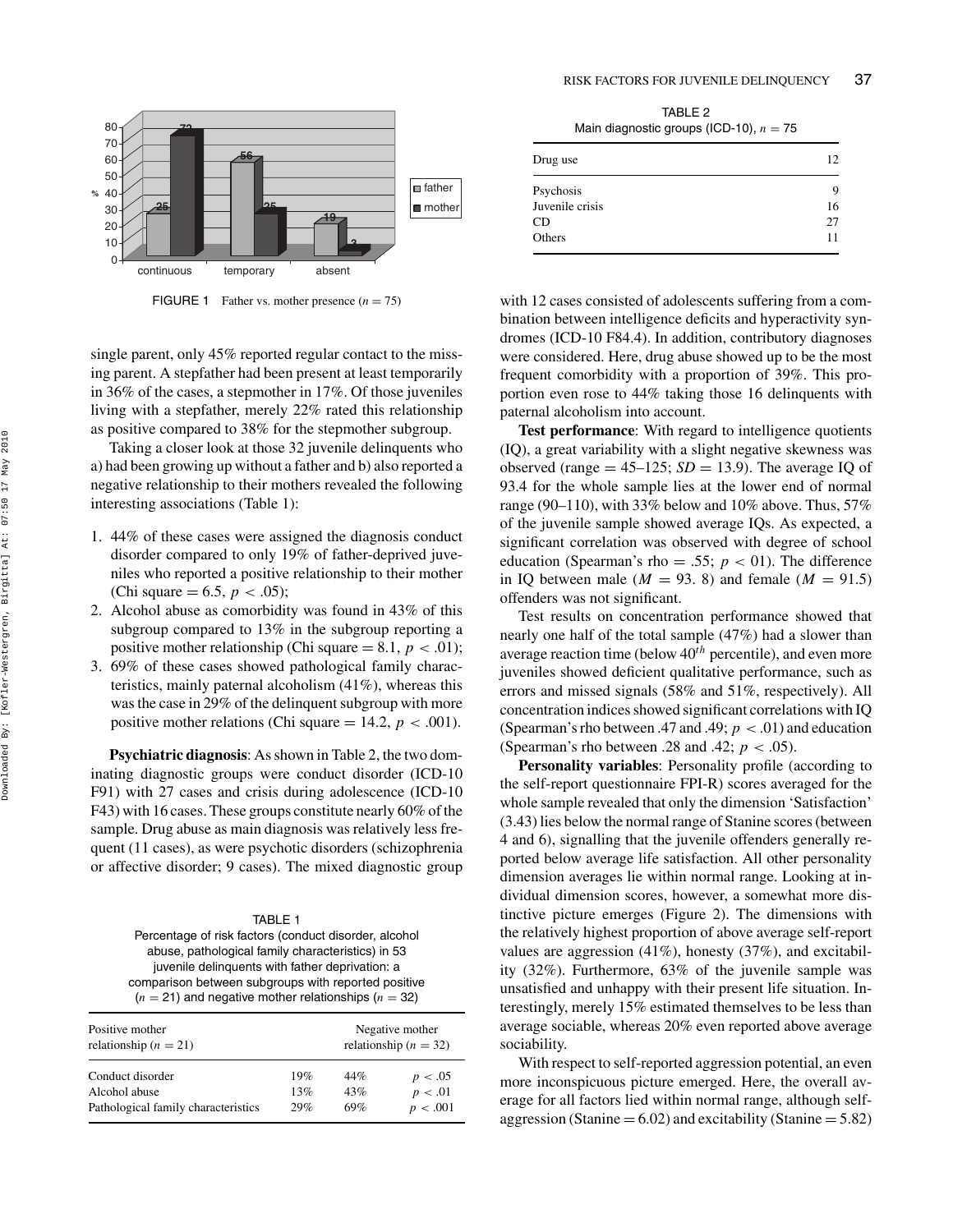

**FIGURE 1** Father vs. mother presence  $(n = 75)$ 

single parent, only 45% reported regular contact to the missing parent. A stepfather had been present at least temporarily in 36% of the cases, a stepmother in 17%. Of those juveniles living with a stepfather, merely 22% rated this relationship as positive compared to 38% for the stepmother subgroup.

Taking a closer look at those 32 juvenile delinquents who a) had been growing up without a father and b) also reported a negative relationship to their mothers revealed the following interesting associations (Table 1):

- 1. 44% of these cases were assigned the diagnosis conduct disorder compared to only 19% of father-deprived juveniles who reported a positive relationship to their mother (Chi square = 6.5, *p <* .05);
- 2. Alcohol abuse as comorbidity was found in 43% of this subgroup compared to 13% in the subgroup reporting a positive mother relationship (Chi square  $= 8.1, p < .01$ );
- 3. 69% of these cases showed pathological family characteristics, mainly paternal alcoholism (41%), whereas this was the case in 29% of the delinquent subgroup with more positive mother relations (Chi square  $= 14.2$ ,  $p < .001$ ).

**Psychiatric diagnosis**: As shown in Table 2, the two dominating diagnostic groups were conduct disorder (ICD-10 F91) with 27 cases and crisis during adolescence (ICD-10 F43) with 16 cases. These groups constitute nearly 60% of the sample. Drug abuse as main diagnosis was relatively less frequent (11 cases), as were psychotic disorders (schizophrenia or affective disorder; 9 cases). The mixed diagnostic group

| TARI F 1                                                |
|---------------------------------------------------------|
| Percentage of risk factors (conduct disorder, alcohol   |
| abuse, pathological family characteristics) in 53       |
| juvenile delinguents with father deprivation: a         |
| comparison between subgroups with reported positive     |
| $(n = 21)$ and negative mother relationships $(n = 32)$ |
|                                                         |

| Positive mother<br>relationship ( $n = 21$ ) | Negative mother<br>relationship ( $n = 32$ ) |     |          |
|----------------------------------------------|----------------------------------------------|-----|----------|
| Conduct disorder                             | 19%                                          | 44% | p < .05  |
| Alcohol abuse                                | 13%                                          | 43% | p < .01  |
| Pathological family characteristics          | 29%                                          | 69% | p < .001 |

TABLE 2 Main diagnostic groups (ICD-10),  $n = 75$ 

| Drug use        | 12 |
|-----------------|----|
| Psychosis       | 9  |
| Juvenile crisis | 16 |
| CD              | 27 |
| Others          | 11 |

with 12 cases consisted of adolescents suffering from a combination between intelligence deficits and hyperactivity syndromes (ICD-10 F84.4). In addition, contributory diagnoses were considered. Here, drug abuse showed up to be the most frequent comorbidity with a proportion of 39%. This proportion even rose to 44% taking those 16 delinquents with paternal alcoholism into account.

**Test performance**: With regard to intelligence quotients (IQ), a great variability with a slight negative skewness was observed (range  $= 45-125$ ; *SD*  $= 13.9$ ). The average IQ of 93.4 for the whole sample lies at the lower end of normal range (90–110), with 33% below and 10% above. Thus, 57% of the juvenile sample showed average IQs. As expected, a significant correlation was observed with degree of school education (Spearman's rho = .55;  $p < 01$ ). The difference in IQ between male ( $M = 93$ . 8) and female ( $M = 91.5$ ) offenders was not significant.

Test results on concentration performance showed that nearly one half of the total sample (47%) had a slower than average reaction time (below 40*th* percentile), and even more juveniles showed deficient qualitative performance, such as errors and missed signals (58% and 51%, respectively). All concentration indices showed significant correlations with IQ (Spearman's rho between .47 and .49;  $p < .01$ ) and education (Spearman's rho between .28 and .42; *p <* .05).

**Personality variables**: Personality profile (according to the self-report questionnaire FPI-R) scores averaged for the whole sample revealed that only the dimension 'Satisfaction' (3.43) lies below the normal range of Stanine scores (between 4 and 6), signalling that the juvenile offenders generally reported below average life satisfaction. All other personality dimension averages lie within normal range. Looking at individual dimension scores, however, a somewhat more distinctive picture emerges (Figure 2). The dimensions with the relatively highest proportion of above average self-report values are aggression  $(41\%)$ , honesty  $(37\%)$ , and excitability (32%). Furthermore, 63% of the juvenile sample was unsatisfied and unhappy with their present life situation. Interestingly, merely 15% estimated themselves to be less than average sociable, whereas 20% even reported above average sociability.

With respect to self-reported aggression potential, an even more inconspicuous picture emerged. Here, the overall average for all factors lied within normal range, although selfaggression (Stanine  $= 6.02$ ) and excitability (Stanine  $= 5.82$ )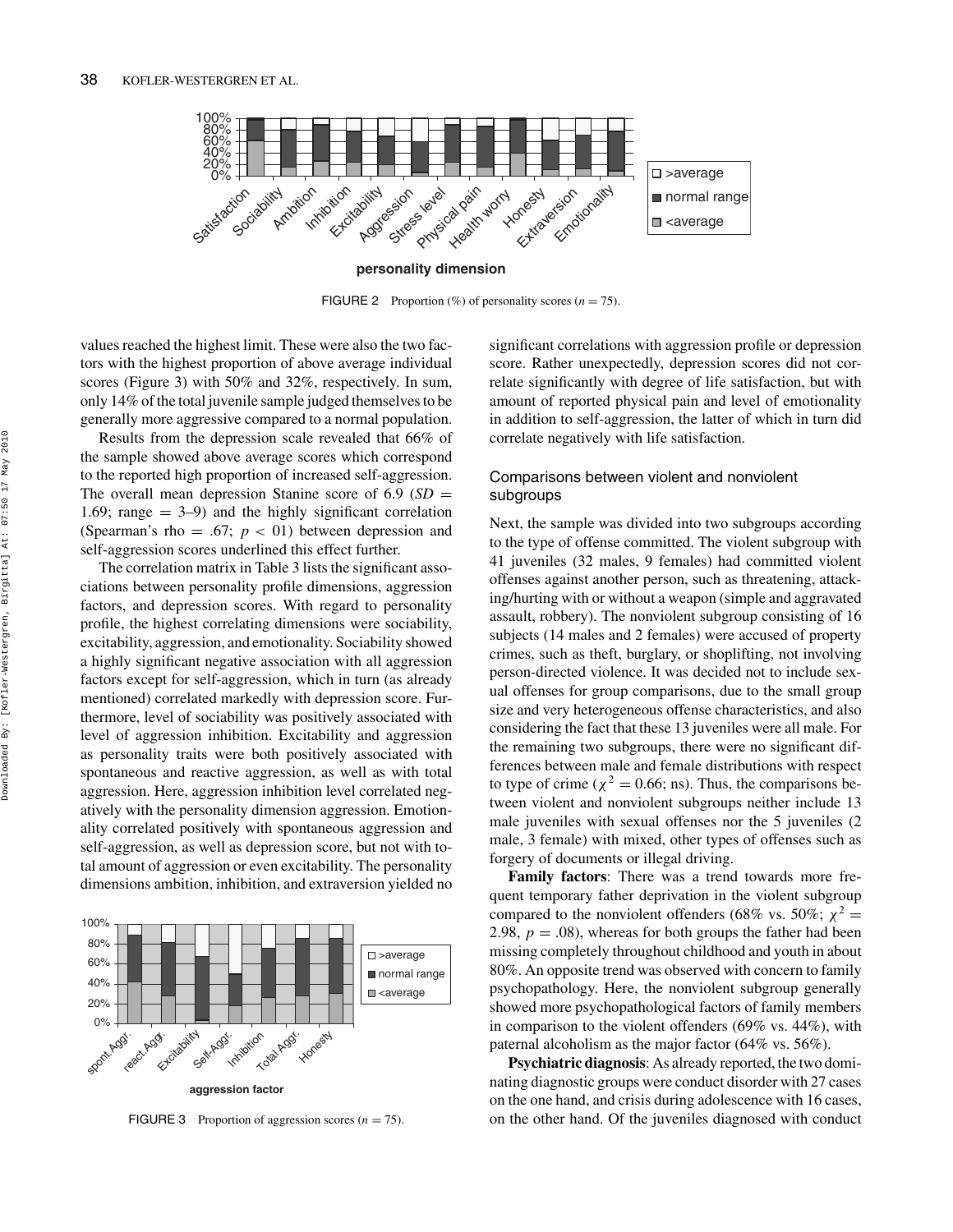

**personality dimension**

FIGURE 2 Proportion  $(\%)$  of personality scores  $(n = 75)$ .

values reached the highest limit. These were also the two factors with the highest proportion of above average individual scores (Figure 3) with 50% and 32%, respectively. In sum, only 14% of the total juvenile sample judged themselves to be generally more aggressive compared to a normal population.

Results from the depression scale revealed that 66% of the sample showed above average scores which correspond to the reported high proportion of increased self-aggression. The overall mean depression Stanine score of  $6.9$  ( $SD =$ 1.69; range  $= 3-9$ ) and the highly significant correlation (Spearman's rho = .67;  $p < 01$ ) between depression and self-aggression scores underlined this effect further.

The correlation matrix in Table 3 lists the significant associations between personality profile dimensions, aggression factors, and depression scores. With regard to personality profile, the highest correlating dimensions were sociability, excitability, aggression, and emotionality. Sociability showed a highly significant negative association with all aggression factors except for self-aggression, which in turn (as already mentioned) correlated markedly with depression score. Furthermore, level of sociability was positively associated with level of aggression inhibition. Excitability and aggression as personality traits were both positively associated with spontaneous and reactive aggression, as well as with total aggression. Here, aggression inhibition level correlated negatively with the personality dimension aggression. Emotionality correlated positively with spontaneous aggression and self-aggression, as well as depression score, but not with total amount of aggression or even excitability. The personality dimensions ambition, inhibition, and extraversion yielded no



**FIGURE 3** Proportion of aggression scores ( $n = 75$ ).

significant correlations with aggression profile or depression score. Rather unexpectedly, depression scores did not correlate significantly with degree of life satisfaction, but with amount of reported physical pain and level of emotionality in addition to self-aggression, the latter of which in turn did correlate negatively with life satisfaction.

## Comparisons between violent and nonviolent subgroups

Next, the sample was divided into two subgroups according to the type of offense committed. The violent subgroup with 41 juveniles (32 males, 9 females) had committed violent offenses against another person, such as threatening, attacking/hurting with or without a weapon (simple and aggravated assault, robbery). The nonviolent subgroup consisting of 16 subjects (14 males and 2 females) were accused of property crimes, such as theft, burglary, or shoplifting, not involving person-directed violence. It was decided not to include sexual offenses for group comparisons, due to the small group size and very heterogeneous offense characteristics, and also considering the fact that these 13 juveniles were all male. For the remaining two subgroups, there were no significant differences between male and female distributions with respect to type of crime ( $\chi^2 = 0.66$ ; ns). Thus, the comparisons between violent and nonviolent subgroups neither include 13 male juveniles with sexual offenses nor the 5 juveniles (2 male, 3 female) with mixed, other types of offenses such as forgery of documents or illegal driving.

**Family factors**: There was a trend towards more frequent temporary father deprivation in the violent subgroup compared to the nonviolent offenders (68% vs. 50%;  $\chi^2$  = 2.98,  $p = .08$ ), whereas for both groups the father had been missing completely throughout childhood and youth in about 80%. An opposite trend was observed with concern to family psychopathology. Here, the nonviolent subgroup generally showed more psychopathological factors of family members in comparison to the violent offenders (69% vs. 44%), with paternal alcoholism as the major factor (64% vs. 56%).

**Psychiatric diagnosis**: As already reported, the two dominating diagnostic groups were conduct disorder with 27 cases on the one hand, and crisis during adolescence with 16 cases, on the other hand. Of the juveniles diagnosed with conduct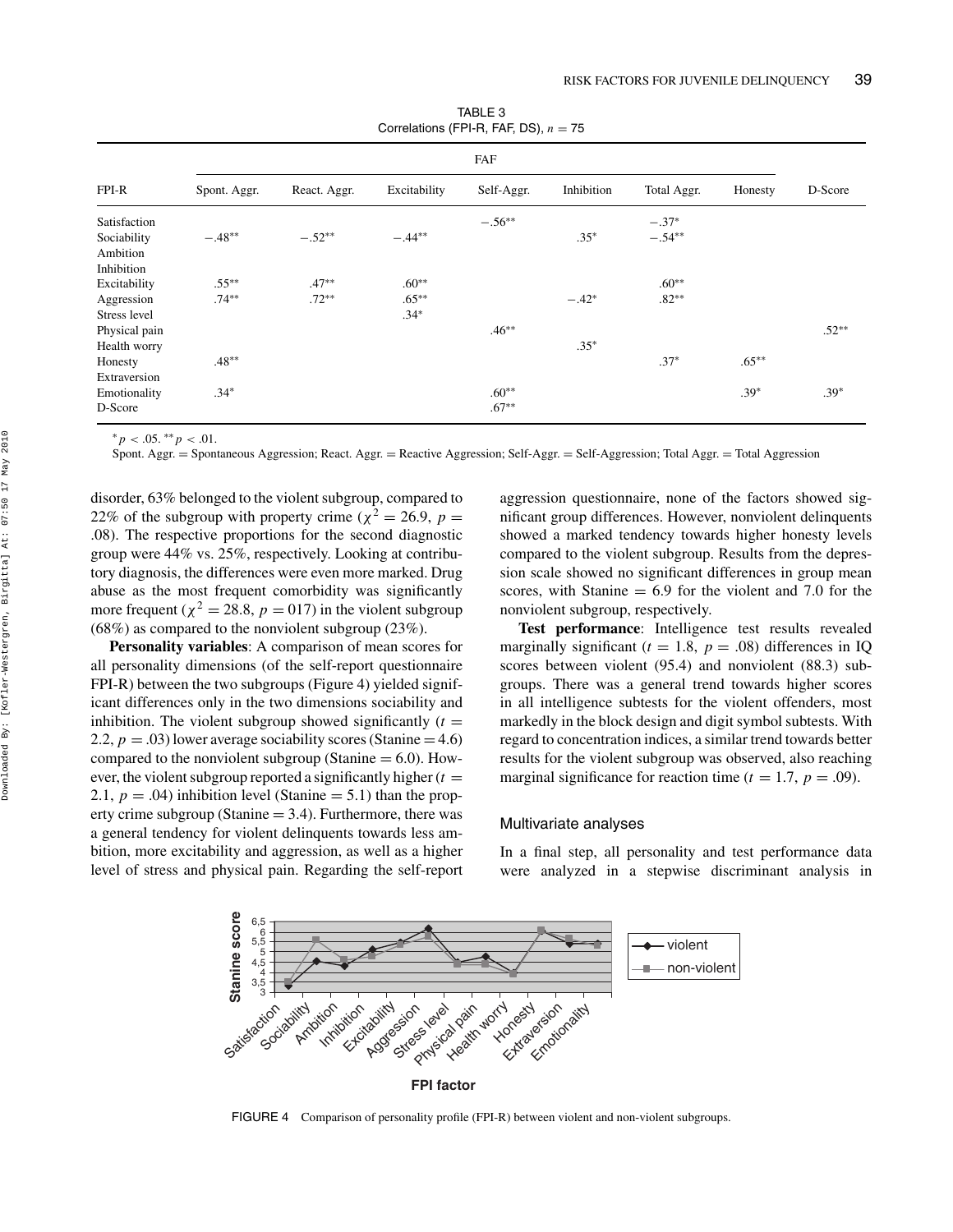| TABLE 3                                 |  |  |  |  |  |
|-----------------------------------------|--|--|--|--|--|
| Correlations (FPI-R, FAF, DS), $n = 75$ |  |  |  |  |  |

|               | FAF          |              |              |            |            |             |          |          |
|---------------|--------------|--------------|--------------|------------|------------|-------------|----------|----------|
| FPI-R         | Spont. Aggr. | React. Aggr. | Excitability | Self-Aggr. | Inhibition | Total Aggr. | Honesty  | D-Score  |
| Satisfaction  |              |              |              | $-.56**$   |            | $-.37*$     |          |          |
| Sociability   | $-.48**$     | $-.52**$     | $-.44**$     |            | $.35*$     | $-.54**$    |          |          |
| Ambition      |              |              |              |            |            |             |          |          |
| Inhibition    |              |              |              |            |            |             |          |          |
| Excitability  | $.55***$     | $.47**$      | $.60**$      |            |            | $.60**$     |          |          |
| Aggression    | $.74***$     | $.72***$     | $.65***$     |            | $-.42*$    | $.82**$     |          |          |
| Stress level  |              |              | $.34*$       |            |            |             |          |          |
| Physical pain |              |              |              | $.46**$    |            |             |          | $.52***$ |
| Health worry  |              |              |              |            | $.35*$     |             |          |          |
| Honesty       | $.48**$      |              |              |            |            | $.37*$      | $.65***$ |          |
| Extraversion  |              |              |              |            |            |             |          |          |
| Emotionality  | $.34*$       |              |              | $.60**$    |            |             | $.39*$   | $.39*$   |
| D-Score       |              |              |              | $.67**$    |            |             |          |          |

∗*p <* .05. ∗∗*p <* .01.

Spont. Aggr. = Spontaneous Aggression; React. Aggr. = Reactive Aggression; Self-Aggr. = Self-Aggression; Total Aggr. = Total Aggression

disorder, 63% belonged to the violent subgroup, compared to 22% of the subgroup with property crime ( $\chi^2 = 26.9$ ,  $p =$ .08). The respective proportions for the second diagnostic group were 44% vs. 25%, respectively. Looking at contributory diagnosis, the differences were even more marked. Drug abuse as the most frequent comorbidity was significantly more frequent ( $\chi^2 = 28.8$ ,  $p = 017$ ) in the violent subgroup (68%) as compared to the nonviolent subgroup (23%).

**Personality variables**: A comparison of mean scores for all personality dimensions (of the self-report questionnaire FPI-R) between the two subgroups (Figure 4) yielded significant differences only in the two dimensions sociability and inhibition. The violent subgroup showed significantly  $(t =$ 2.2,  $p = .03$ ) lower average sociability scores (Stanine = 4.6) compared to the nonviolent subgroup (Stanine  $= 6.0$ ). However, the violent subgroup reported a significantly higher  $(t =$ 2.1,  $p = .04$ ) inhibition level (Stanine = 5.1) than the property crime subgroup (Stanine  $= 3.4$ ). Furthermore, there was a general tendency for violent delinquents towards less ambition, more excitability and aggression, as well as a higher level of stress and physical pain. Regarding the self-report aggression questionnaire, none of the factors showed significant group differences. However, nonviolent delinquents showed a marked tendency towards higher honesty levels compared to the violent subgroup. Results from the depression scale showed no significant differences in group mean scores, with Stanine  $= 6.9$  for the violent and 7.0 for the nonviolent subgroup, respectively.

**Test performance**: Intelligence test results revealed marginally significant  $(t = 1.8, p = .08)$  differences in IQ scores between violent (95.4) and nonviolent (88.3) subgroups. There was a general trend towards higher scores in all intelligence subtests for the violent offenders, most markedly in the block design and digit symbol subtests. With regard to concentration indices, a similar trend towards better results for the violent subgroup was observed, also reaching marginal significance for reaction time  $(t = 1.7, p = .09)$ .

#### Multivariate analyses

In a final step, all personality and test performance data were analyzed in a stepwise discriminant analysis in



FIGURE 4 Comparison of personality profile (FPI-R) between violent and non-violent subgroups.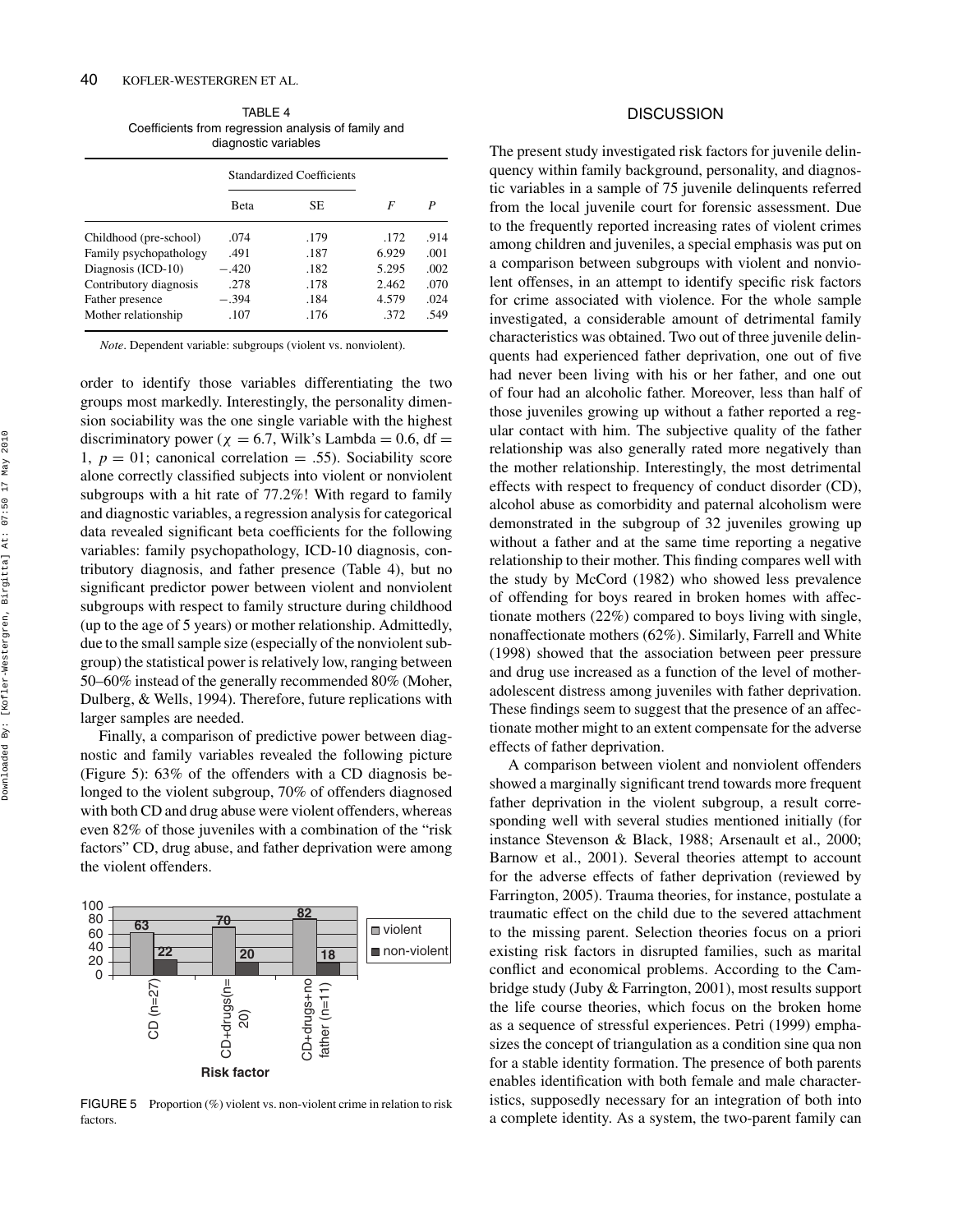TABLE 4 Coefficients from regression analysis of family and diagnostic variables

|                        | <b>Standardized Coefficients</b> |      |       |      |
|------------------------|----------------------------------|------|-------|------|
|                        | Beta                             | SE   | F     | P    |
| Childhood (pre-school) | .074                             | .179 | .172  | .914 |
| Family psychopathology | .491                             | .187 | 6.929 | .001 |
| Diagnosis (ICD-10)     | $-.420$                          | .182 | 5.295 | .002 |
| Contributory diagnosis | .278                             | .178 | 2.462 | .070 |
| Father presence        | $-.394$                          | .184 | 4.579 | .024 |
| Mother relationship    | .107                             | .176 | .372  | .549 |

*Note*. Dependent variable: subgroups (violent vs. nonviolent).

order to identify those variables differentiating the two groups most markedly. Interestingly, the personality dimension sociability was the one single variable with the highest discriminatory power ( $\chi = 6.7$ , Wilk's Lambda = 0.6, df = 1,  $p = 01$ ; canonical correlation = .55). Sociability score alone correctly classified subjects into violent or nonviolent subgroups with a hit rate of 77.2%! With regard to family and diagnostic variables, a regression analysis for categorical data revealed significant beta coefficients for the following variables: family psychopathology, ICD-10 diagnosis, contributory diagnosis, and father presence (Table 4), but no significant predictor power between violent and nonviolent subgroups with respect to family structure during childhood (up to the age of 5 years) or mother relationship. Admittedly, due to the small sample size (especially of the nonviolent subgroup) the statistical power is relatively low, ranging between 50–60% instead of the generally recommended 80% (Moher, Dulberg, & Wells, 1994). Therefore, future replications with larger samples are needed.

Finally, a comparison of predictive power between diagnostic and family variables revealed the following picture (Figure 5): 63% of the offenders with a CD diagnosis belonged to the violent subgroup, 70% of offenders diagnosed with both CD and drug abuse were violent offenders, whereas even 82% of those juveniles with a combination of the "risk factors" CD, drug abuse, and father deprivation were among the violent offenders.



FIGURE 5 Proportion (%) violent vs. non-violent crime in relation to risk factors.

#### **DISCUSSION**

The present study investigated risk factors for juvenile delinquency within family background, personality, and diagnostic variables in a sample of 75 juvenile delinquents referred from the local juvenile court for forensic assessment. Due to the frequently reported increasing rates of violent crimes among children and juveniles, a special emphasis was put on a comparison between subgroups with violent and nonviolent offenses, in an attempt to identify specific risk factors for crime associated with violence. For the whole sample investigated, a considerable amount of detrimental family characteristics was obtained. Two out of three juvenile delinquents had experienced father deprivation, one out of five had never been living with his or her father, and one out of four had an alcoholic father. Moreover, less than half of those juveniles growing up without a father reported a regular contact with him. The subjective quality of the father relationship was also generally rated more negatively than the mother relationship. Interestingly, the most detrimental effects with respect to frequency of conduct disorder (CD), alcohol abuse as comorbidity and paternal alcoholism were demonstrated in the subgroup of 32 juveniles growing up without a father and at the same time reporting a negative relationship to their mother. This finding compares well with the study by McCord (1982) who showed less prevalence of offending for boys reared in broken homes with affectionate mothers (22%) compared to boys living with single, nonaffectionate mothers (62%). Similarly, Farrell and White (1998) showed that the association between peer pressure and drug use increased as a function of the level of motheradolescent distress among juveniles with father deprivation. These findings seem to suggest that the presence of an affectionate mother might to an extent compensate for the adverse effects of father deprivation.

A comparison between violent and nonviolent offenders showed a marginally significant trend towards more frequent father deprivation in the violent subgroup, a result corresponding well with several studies mentioned initially (for instance Stevenson & Black, 1988; Arsenault et al., 2000; Barnow et al., 2001). Several theories attempt to account for the adverse effects of father deprivation (reviewed by Farrington, 2005). Trauma theories, for instance, postulate a traumatic effect on the child due to the severed attachment to the missing parent. Selection theories focus on a priori existing risk factors in disrupted families, such as marital conflict and economical problems. According to the Cambridge study (Juby & Farrington, 2001), most results support the life course theories, which focus on the broken home as a sequence of stressful experiences. Petri (1999) emphasizes the concept of triangulation as a condition sine qua non for a stable identity formation. The presence of both parents enables identification with both female and male characteristics, supposedly necessary for an integration of both into a complete identity. As a system, the two-parent family can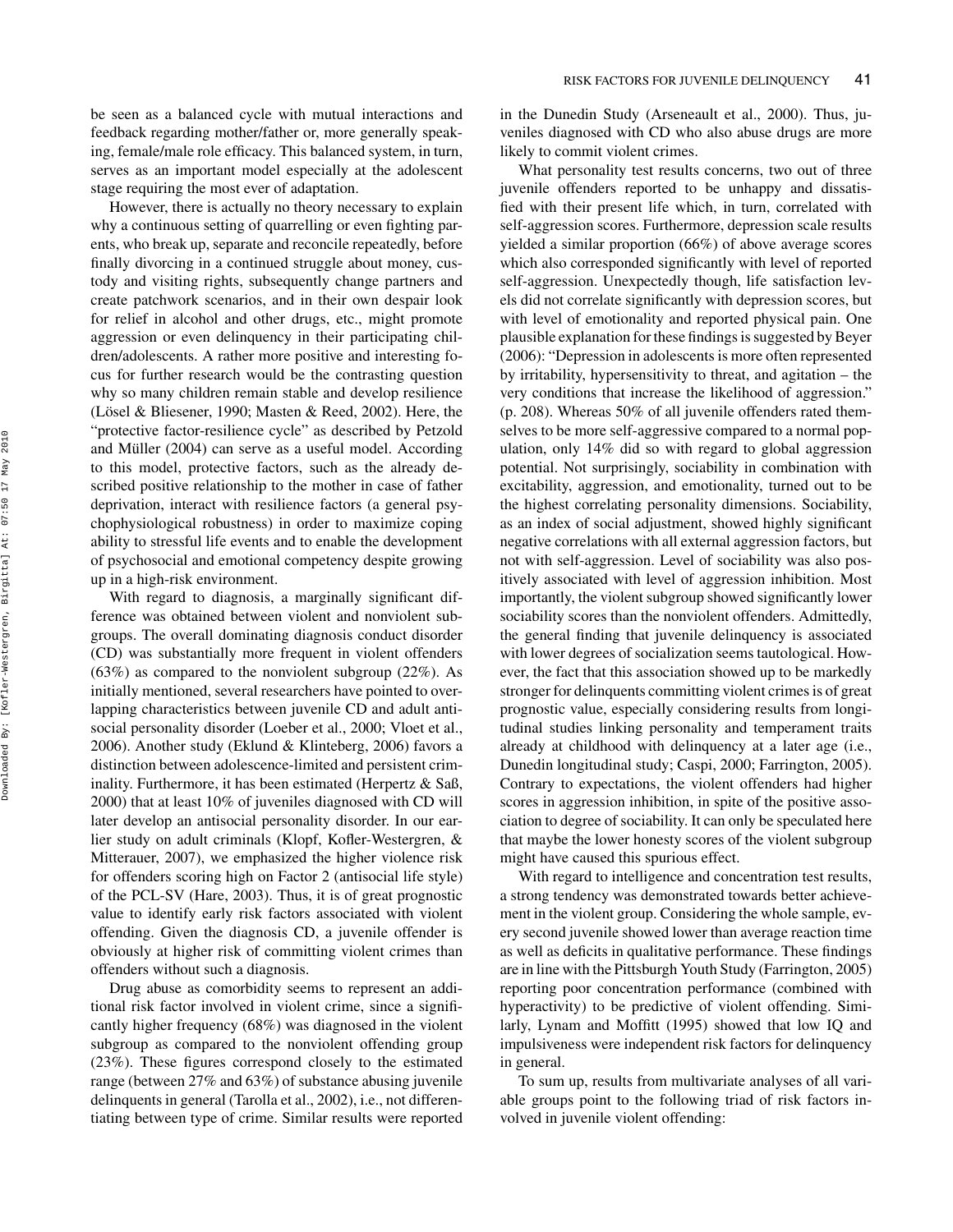be seen as a balanced cycle with mutual interactions and feedback regarding mother/father or, more generally speaking, female/male role efficacy. This balanced system, in turn, serves as an important model especially at the adolescent stage requiring the most ever of adaptation.

However, there is actually no theory necessary to explain why a continuous setting of quarrelling or even fighting parents, who break up, separate and reconcile repeatedly, before finally divorcing in a continued struggle about money, custody and visiting rights, subsequently change partners and create patchwork scenarios, and in their own despair look for relief in alcohol and other drugs, etc., might promote aggression or even delinquency in their participating children/adolescents. A rather more positive and interesting focus for further research would be the contrasting question why so many children remain stable and develop resilience (Lösel & Bliesener, 1990; Masten & Reed, 2002). Here, the "protective factor-resilience cycle" as described by Petzold and Müller (2004) can serve as a useful model. According to this model, protective factors, such as the already described positive relationship to the mother in case of father deprivation, interact with resilience factors (a general psychophysiological robustness) in order to maximize coping ability to stressful life events and to enable the development of psychosocial and emotional competency despite growing up in a high-risk environment.

With regard to diagnosis, a marginally significant difference was obtained between violent and nonviolent subgroups. The overall dominating diagnosis conduct disorder (CD) was substantially more frequent in violent offenders (63%) as compared to the nonviolent subgroup (22%). As initially mentioned, several researchers have pointed to overlapping characteristics between juvenile CD and adult antisocial personality disorder (Loeber et al., 2000; Vloet et al., 2006). Another study (Eklund & Klinteberg, 2006) favors a distinction between adolescence-limited and persistent criminality. Furthermore, it has been estimated (Herpertz & Saß, 2000) that at least 10% of juveniles diagnosed with CD will later develop an antisocial personality disorder. In our earlier study on adult criminals (Klopf, Kofler-Westergren, & Mitterauer, 2007), we emphasized the higher violence risk for offenders scoring high on Factor 2 (antisocial life style) of the PCL-SV (Hare, 2003). Thus, it is of great prognostic value to identify early risk factors associated with violent offending. Given the diagnosis CD, a juvenile offender is obviously at higher risk of committing violent crimes than offenders without such a diagnosis.

Drug abuse as comorbidity seems to represent an additional risk factor involved in violent crime, since a significantly higher frequency (68%) was diagnosed in the violent subgroup as compared to the nonviolent offending group (23%). These figures correspond closely to the estimated range (between 27% and 63%) of substance abusing juvenile delinquents in general (Tarolla et al., 2002), i.e., not differentiating between type of crime. Similar results were reported in the Dunedin Study (Arseneault et al., 2000). Thus, juveniles diagnosed with CD who also abuse drugs are more likely to commit violent crimes.

What personality test results concerns, two out of three juvenile offenders reported to be unhappy and dissatisfied with their present life which, in turn, correlated with self-aggression scores. Furthermore, depression scale results yielded a similar proportion (66%) of above average scores which also corresponded significantly with level of reported self-aggression. Unexpectedly though, life satisfaction levels did not correlate significantly with depression scores, but with level of emotionality and reported physical pain. One plausible explanation for these findings is suggested by Beyer (2006): "Depression in adolescents is more often represented by irritability, hypersensitivity to threat, and agitation – the very conditions that increase the likelihood of aggression." (p. 208). Whereas 50% of all juvenile offenders rated themselves to be more self-aggressive compared to a normal population, only 14% did so with regard to global aggression potential. Not surprisingly, sociability in combination with excitability, aggression, and emotionality, turned out to be the highest correlating personality dimensions. Sociability, as an index of social adjustment, showed highly significant negative correlations with all external aggression factors, but not with self-aggression. Level of sociability was also positively associated with level of aggression inhibition. Most importantly, the violent subgroup showed significantly lower sociability scores than the nonviolent offenders. Admittedly, the general finding that juvenile delinquency is associated with lower degrees of socialization seems tautological. However, the fact that this association showed up to be markedly stronger for delinquents committing violent crimes is of great prognostic value, especially considering results from longitudinal studies linking personality and temperament traits already at childhood with delinquency at a later age (i.e., Dunedin longitudinal study; Caspi, 2000; Farrington, 2005). Contrary to expectations, the violent offenders had higher scores in aggression inhibition, in spite of the positive association to degree of sociability. It can only be speculated here that maybe the lower honesty scores of the violent subgroup might have caused this spurious effect.

With regard to intelligence and concentration test results, a strong tendency was demonstrated towards better achievement in the violent group. Considering the whole sample, every second juvenile showed lower than average reaction time as well as deficits in qualitative performance. These findings are in line with the Pittsburgh Youth Study (Farrington, 2005) reporting poor concentration performance (combined with hyperactivity) to be predictive of violent offending. Similarly, Lynam and Moffitt (1995) showed that low IQ and impulsiveness were independent risk factors for delinquency in general.

To sum up, results from multivariate analyses of all variable groups point to the following triad of risk factors involved in juvenile violent offending: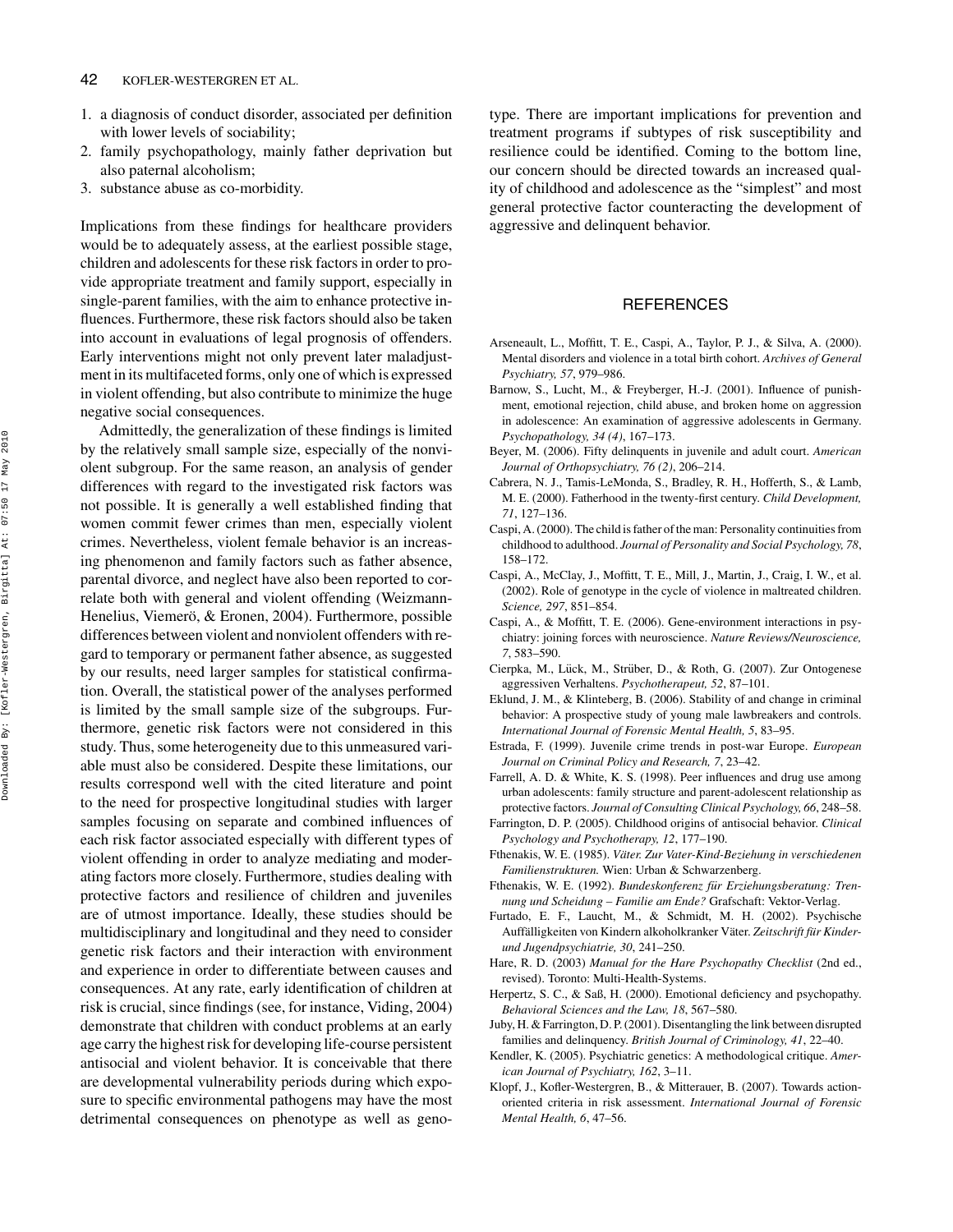- 1. a diagnosis of conduct disorder, associated per definition with lower levels of sociability;
- 2. family psychopathology, mainly father deprivation but also paternal alcoholism;
- 3. substance abuse as co-morbidity.

Implications from these findings for healthcare providers would be to adequately assess, at the earliest possible stage, children and adolescents for these risk factors in order to provide appropriate treatment and family support, especially in single-parent families, with the aim to enhance protective influences. Furthermore, these risk factors should also be taken into account in evaluations of legal prognosis of offenders. Early interventions might not only prevent later maladjustment in its multifaceted forms, only one of which is expressed in violent offending, but also contribute to minimize the huge negative social consequences.

Admittedly, the generalization of these findings is limited by the relatively small sample size, especially of the nonviolent subgroup. For the same reason, an analysis of gender differences with regard to the investigated risk factors was not possible. It is generally a well established finding that women commit fewer crimes than men, especially violent crimes. Nevertheless, violent female behavior is an increasing phenomenon and family factors such as father absence, parental divorce, and neglect have also been reported to correlate both with general and violent offending (Weizmann-Henelius, Viemerö, & Eronen, 2004). Furthermore, possible differences between violent and nonviolent offenders with regard to temporary or permanent father absence, as suggested by our results, need larger samples for statistical confirmation. Overall, the statistical power of the analyses performed is limited by the small sample size of the subgroups. Furthermore, genetic risk factors were not considered in this study. Thus, some heterogeneity due to this unmeasured variable must also be considered. Despite these limitations, our results correspond well with the cited literature and point to the need for prospective longitudinal studies with larger samples focusing on separate and combined influences of each risk factor associated especially with different types of violent offending in order to analyze mediating and moderating factors more closely. Furthermore, studies dealing with protective factors and resilience of children and juveniles are of utmost importance. Ideally, these studies should be multidisciplinary and longitudinal and they need to consider genetic risk factors and their interaction with environment and experience in order to differentiate between causes and consequences. At any rate, early identification of children at risk is crucial, since findings (see, for instance, Viding, 2004) demonstrate that children with conduct problems at an early age carry the highest risk for developing life-course persistent antisocial and violent behavior. It is conceivable that there are developmental vulnerability periods during which exposure to specific environmental pathogens may have the most detrimental consequences on phenotype as well as genotype. There are important implications for prevention and treatment programs if subtypes of risk susceptibility and resilience could be identified. Coming to the bottom line, our concern should be directed towards an increased quality of childhood and adolescence as the "simplest" and most general protective factor counteracting the development of aggressive and delinquent behavior.

#### **REFERENCES**

- Arseneault, L., Moffitt, T. E., Caspi, A., Taylor, P. J., & Silva, A. (2000). Mental disorders and violence in a total birth cohort. *Archives of General Psychiatry, 57*, 979–986.
- Barnow, S., Lucht, M., & Freyberger, H.-J. (2001). Influence of punishment, emotional rejection, child abuse, and broken home on aggression in adolescence: An examination of aggressive adolescents in Germany. *Psychopathology, 34 (4)*, 167–173.
- Beyer, M. (2006). Fifty delinquents in juvenile and adult court. *American Journal of Orthopsychiatry, 76 (2)*, 206–214.
- Cabrera, N. J., Tamis-LeMonda, S., Bradley, R. H., Hofferth, S., & Lamb, M. E. (2000). Fatherhood in the twenty-first century. *Child Development, 71*, 127–136.
- Caspi, A. (2000). The child is father of the man: Personality continuities from childhood to adulthood. *Journal of Personality and Social Psychology, 78*, 158–172.
- Caspi, A., McClay, J., Moffitt, T. E., Mill, J., Martin, J., Craig, I. W., et al. (2002). Role of genotype in the cycle of violence in maltreated children. *Science, 297*, 851–854.
- Caspi, A., & Moffitt, T. E. (2006). Gene-environment interactions in psychiatry: joining forces with neuroscience. *Nature Reviews/Neuroscience, 7*, 583–590.
- Cierpka, M., Lück, M., Strüber, D., & Roth, G. (2007). Zur Ontogenese aggressiven Verhaltens. *Psychotherapeut, 52*, 87–101.
- Eklund, J. M., & Klinteberg, B. (2006). Stability of and change in criminal behavior: A prospective study of young male lawbreakers and controls. *International Journal of Forensic Mental Health, 5*, 83–95.
- Estrada, F. (1999). Juvenile crime trends in post-war Europe. *European Journal on Criminal Policy and Research, 7*, 23–42.
- Farrell, A. D. & White, K. S. (1998). Peer influences and drug use among urban adolescents: family structure and parent-adolescent relationship as protective factors. *Journal of Consulting Clinical Psychology, 66*, 248–58.
- Farrington, D. P. (2005). Childhood origins of antisocial behavior. *Clinical Psychology and Psychotherapy, 12*, 177–190.
- Fthenakis, W. E. (1985). *Väter. Zur Vater-Kind-Beziehung in verschiedenen Familienstrukturen.* Wien: Urban & Schwarzenberg.
- Fthenakis, W. E. (1992). *Bundeskonferenz fur Erziehungsberatung: Tren- ¨ nung und Scheidung – Familie am Ende?* Grafschaft: Vektor-Verlag.
- Furtado, E. F., Laucht, M., & Schmidt, M. H. (2002). Psychische Auffälligkeiten von Kindern alkoholkranker Väter. Zeitschrift für Kinder*und Jugendpsychiatrie, 30*, 241–250.
- Hare, R. D. (2003) *Manual for the Hare Psychopathy Checklist* (2nd ed., revised). Toronto: Multi-Health-Systems.
- Herpertz, S. C., & Saß, H. (2000). Emotional deficiency and psychopathy. *Behavioral Sciences and the Law, 18*, 567–580.
- Juby, H. & Farrington, D. P. (2001). Disentangling the link between disrupted families and delinquency. *British Journal of Criminology, 41*, 22–40.
- Kendler, K. (2005). Psychiatric genetics: A methodological critique. *American Journal of Psychiatry, 162*, 3–11.
- Klopf, J., Kofler-Westergren, B., & Mitterauer, B. (2007). Towards actionoriented criteria in risk assessment. *International Journal of Forensic Mental Health, 6*, 47–56.